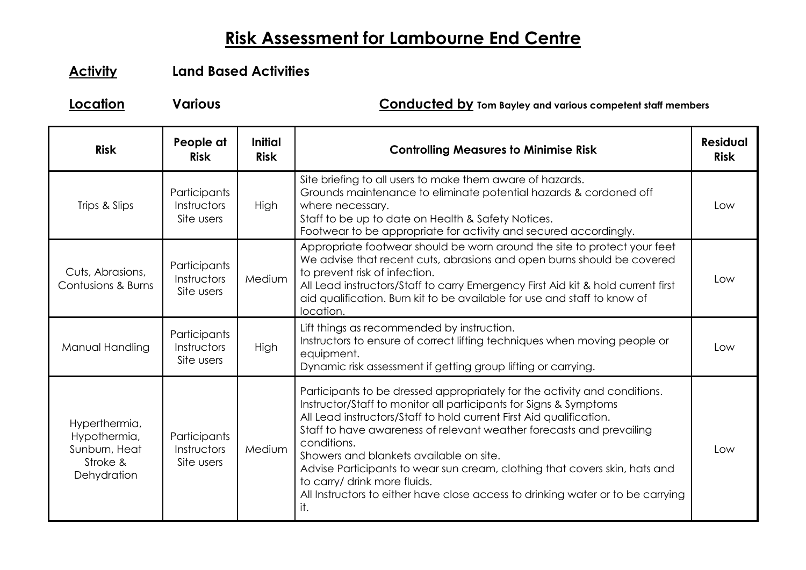## **Risk Assessment for Lambourne End Centre**

## **Activity Land Based Activities**

**Location Various Conducted by Tom Bayley and various competent staff members**

| <b>Risk</b>                                                               | People at<br><b>Risk</b>                  | <b>Initial</b><br><b>Risk</b> | <b>Controlling Measures to Minimise Risk</b>                                                                                                                                                                                                                                                                                                                                                                                                                                                                                                                    | <b>Residual</b><br><b>Risk</b> |
|---------------------------------------------------------------------------|-------------------------------------------|-------------------------------|-----------------------------------------------------------------------------------------------------------------------------------------------------------------------------------------------------------------------------------------------------------------------------------------------------------------------------------------------------------------------------------------------------------------------------------------------------------------------------------------------------------------------------------------------------------------|--------------------------------|
| Trips & Slips                                                             | Participants<br>Instructors<br>Site users | High                          | Site briefing to all users to make them aware of hazards.<br>Grounds maintenance to eliminate potential hazards & cordoned off<br>where necessary.<br>Staff to be up to date on Health & Safety Notices.<br>Footwear to be appropriate for activity and secured accordingly.                                                                                                                                                                                                                                                                                    | Low                            |
| Cuts, Abrasions,<br>Contusions & Burns                                    | Participants<br>Instructors<br>Site users | Medium                        | Appropriate footwear should be worn around the site to protect your feet<br>We advise that recent cuts, abrasions and open burns should be covered<br>to prevent risk of infection.<br>All Lead instructors/Staff to carry Emergency First Aid kit & hold current first<br>aid qualification. Burn kit to be available for use and staff to know of<br>location.                                                                                                                                                                                                | Low                            |
| Manual Handling                                                           | Participants<br>Instructors<br>Site users | High                          | Lift things as recommended by instruction.<br>Instructors to ensure of correct lifting techniques when moving people or<br>equipment.<br>Dynamic risk assessment if getting group lifting or carrying.                                                                                                                                                                                                                                                                                                                                                          | Low                            |
| Hyperthermia,<br>Hypothermia,<br>Sunburn, Heat<br>Stroke &<br>Dehydration | Participants<br>Instructors<br>Site users | Medium                        | Participants to be dressed appropriately for the activity and conditions.<br>Instructor/Staff to monitor all participants for Signs & Symptoms<br>All Lead instructors/Staff to hold current First Aid qualification.<br>Staff to have awareness of relevant weather forecasts and prevailing<br>conditions.<br>Showers and blankets available on site.<br>Advise Participants to wear sun cream, clothing that covers skin, hats and<br>to carry/ drink more fluids.<br>All Instructors to either have close access to drinking water or to be carrying<br>it. | Low                            |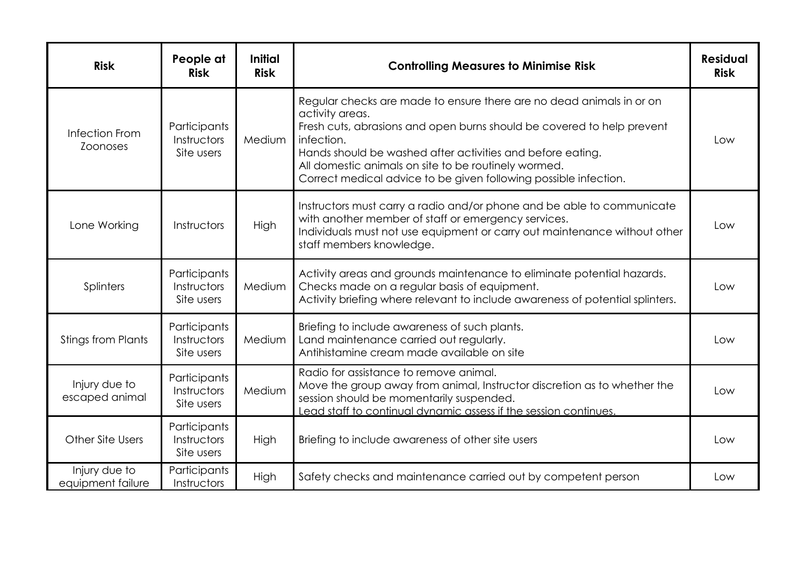| <b>Risk</b>                        | People at<br><b>Risk</b>                  | <b>Initial</b><br><b>Risk</b> | <b>Controlling Measures to Minimise Risk</b>                                                                                                                                                                                                                                                                                                                              | <b>Residual</b><br><b>Risk</b> |
|------------------------------------|-------------------------------------------|-------------------------------|---------------------------------------------------------------------------------------------------------------------------------------------------------------------------------------------------------------------------------------------------------------------------------------------------------------------------------------------------------------------------|--------------------------------|
| Infection From<br><b>Zoonoses</b>  | Participants<br>Instructors<br>Site users | Medium                        | Regular checks are made to ensure there are no dead animals in or on<br>activity areas.<br>Fresh cuts, abrasions and open burns should be covered to help prevent<br>infection.<br>Hands should be washed after activities and before eating.<br>All domestic animals on site to be routinely wormed.<br>Correct medical advice to be given following possible infection. | Low                            |
| Lone Working                       | Instructors                               | High                          | Instructors must carry a radio and/or phone and be able to communicate<br>with another member of staff or emergency services.<br>Individuals must not use equipment or carry out maintenance without other<br>staff members knowledge.                                                                                                                                    | Low                            |
| Splinters                          | Participants<br>Instructors<br>Site users | Medium                        | Activity areas and grounds maintenance to eliminate potential hazards.<br>Checks made on a regular basis of equipment.<br>Activity briefing where relevant to include awareness of potential splinters.                                                                                                                                                                   | Low                            |
| <b>Stings from Plants</b>          | Participants<br>Instructors<br>Site users | Medium                        | Briefing to include awareness of such plants.<br>Land maintenance carried out regularly.<br>Antihistamine cream made available on site                                                                                                                                                                                                                                    | Low                            |
| Injury due to<br>escaped animal    | Participants<br>Instructors<br>Site users | Medium                        | Radio for assistance to remove animal.<br>Move the group away from animal, Instructor discretion as to whether the<br>session should be momentarily suspended.<br>Lead staff to continual dynamic assess if the session continues.                                                                                                                                        | Low                            |
| Other Site Users                   | Participants<br>Instructors<br>Site users | High                          | Briefing to include awareness of other site users                                                                                                                                                                                                                                                                                                                         | Low                            |
| Injury due to<br>equipment failure | Participants<br>Instructors               | High                          | Safety checks and maintenance carried out by competent person                                                                                                                                                                                                                                                                                                             | Low                            |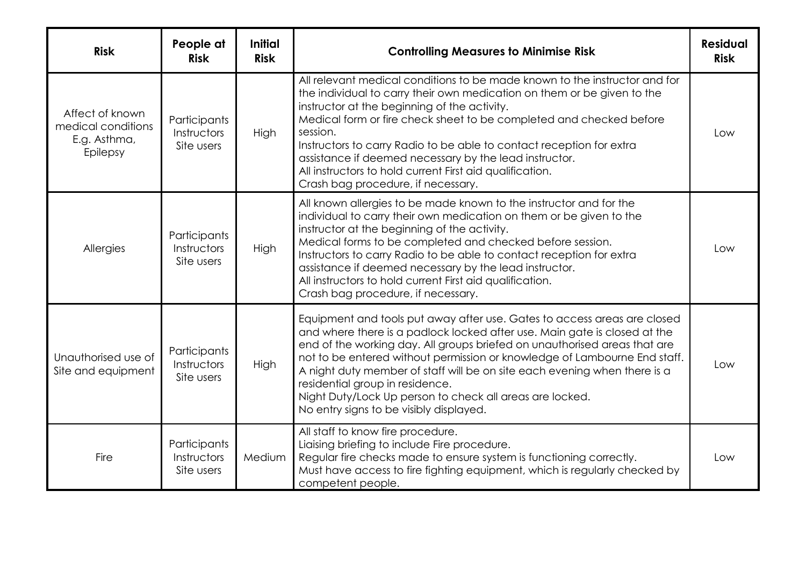| <b>Risk</b>                                                       | People at<br><b>Risk</b>                  | <b>Initial</b><br><b>Risk</b> | <b>Controlling Measures to Minimise Risk</b>                                                                                                                                                                                                                                                                                                                                                                                                                                                                                           | <b>Residual</b><br><b>Risk</b> |
|-------------------------------------------------------------------|-------------------------------------------|-------------------------------|----------------------------------------------------------------------------------------------------------------------------------------------------------------------------------------------------------------------------------------------------------------------------------------------------------------------------------------------------------------------------------------------------------------------------------------------------------------------------------------------------------------------------------------|--------------------------------|
| Affect of known<br>medical conditions<br>E.g. Asthma,<br>Epilepsy | Participants<br>Instructors<br>Site users | High                          | All relevant medical conditions to be made known to the instructor and for<br>the individual to carry their own medication on them or be given to the<br>instructor at the beginning of the activity.<br>Medical form or fire check sheet to be completed and checked before<br>session.<br>Instructors to carry Radio to be able to contact reception for extra<br>assistance if deemed necessary by the lead instructor.<br>All instructors to hold current First aid qualification.<br>Crash bag procedure, if necessary.           | Low                            |
| Allergies                                                         | Participants<br>Instructors<br>Site users | High                          | All known allergies to be made known to the instructor and for the<br>individual to carry their own medication on them or be given to the<br>instructor at the beginning of the activity.<br>Medical forms to be completed and checked before session.<br>Instructors to carry Radio to be able to contact reception for extra<br>assistance if deemed necessary by the lead instructor.<br>All instructors to hold current First aid qualification.<br>Crash bag procedure, if necessary.                                             | l ow                           |
| Unauthorised use of<br>Site and equipment                         | Participants<br>Instructors<br>Site users | High                          | Equipment and tools put away after use. Gates to access areas are closed<br>and where there is a padlock locked after use. Main gate is closed at the<br>end of the working day. All groups briefed on unauthorised areas that are<br>not to be entered without permission or knowledge of Lambourne End staff.<br>A night duty member of staff will be on site each evening when there is a<br>residential group in residence.<br>Night Duty/Lock Up person to check all areas are locked.<br>No entry signs to be visibly displayed. | Low                            |
| <b>Fire</b>                                                       | Participants<br>Instructors<br>Site users | Medium                        | All staff to know fire procedure.<br>Liaising briefing to include Fire procedure.<br>Regular fire checks made to ensure system is functioning correctly.<br>Must have access to fire fighting equipment, which is regularly checked by<br>competent people.                                                                                                                                                                                                                                                                            | l ow                           |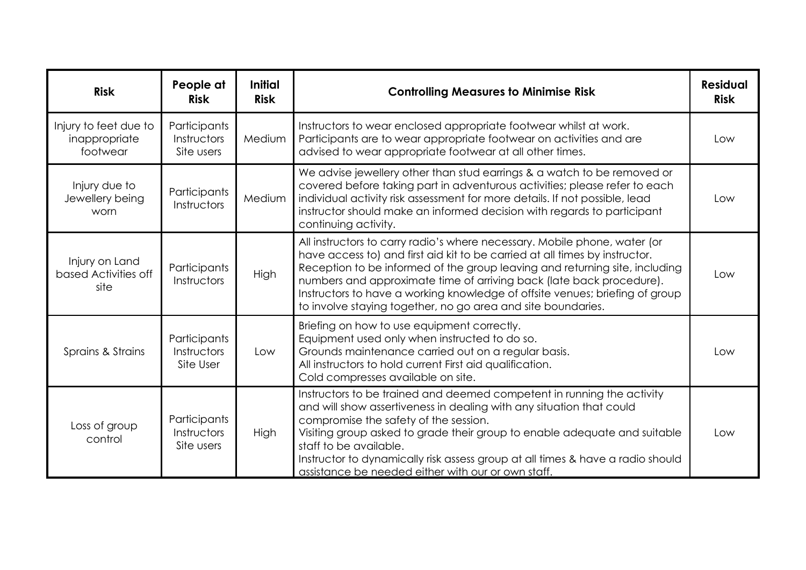| <b>Risk</b>                                        | People at<br><b>Risk</b>                  | <b>Initial</b><br><b>Risk</b> | <b>Controlling Measures to Minimise Risk</b>                                                                                                                                                                                                                                                                                                                                                                                                                    | <b>Residual</b><br><b>Risk</b> |
|----------------------------------------------------|-------------------------------------------|-------------------------------|-----------------------------------------------------------------------------------------------------------------------------------------------------------------------------------------------------------------------------------------------------------------------------------------------------------------------------------------------------------------------------------------------------------------------------------------------------------------|--------------------------------|
| Injury to feet due to<br>inappropriate<br>footwear | Participants<br>Instructors<br>Site users | Medium                        | Instructors to wear enclosed appropriate footwear whilst at work.<br>Participants are to wear appropriate footwear on activities and are<br>advised to wear appropriate footwear at all other times.                                                                                                                                                                                                                                                            | Low                            |
| Injury due to<br>Jewellery being<br>worn           | Participants<br>Instructors               | Medium                        | We advise jewellery other than stud earrings & a watch to be removed or<br>covered before taking part in adventurous activities; please refer to each<br>individual activity risk assessment for more details. If not possible, lead<br>instructor should make an informed decision with regards to participant<br>continuing activity.                                                                                                                         | Low                            |
| Injury on Land<br>based Activities off<br>site     | Participants<br>Instructors               | High                          | All instructors to carry radio's where necessary. Mobile phone, water (or<br>have access to) and first aid kit to be carried at all times by instructor.<br>Reception to be informed of the group leaving and returning site, including<br>numbers and approximate time of arriving back (late back procedure).<br>Instructors to have a working knowledge of offsite venues; briefing of group<br>to involve staying together, no go area and site boundaries. | Low                            |
| Sprains & Strains                                  | Participants<br>Instructors<br>Site User  | Low                           | Briefing on how to use equipment correctly.<br>Equipment used only when instructed to do so.<br>Grounds maintenance carried out on a regular basis.<br>All instructors to hold current First aid qualification.<br>Cold compresses available on site.                                                                                                                                                                                                           | Low                            |
| Loss of group<br>control                           | Participants<br>Instructors<br>Site users | <b>High</b>                   | Instructors to be trained and deemed competent in running the activity<br>and will show assertiveness in dealing with any situation that could<br>compromise the safety of the session.<br>Visiting group asked to grade their group to enable adequate and suitable<br>staff to be available.<br>Instructor to dynamically risk assess group at all times & have a radio should<br>assistance be needed either with our or own staff.                          | Low                            |